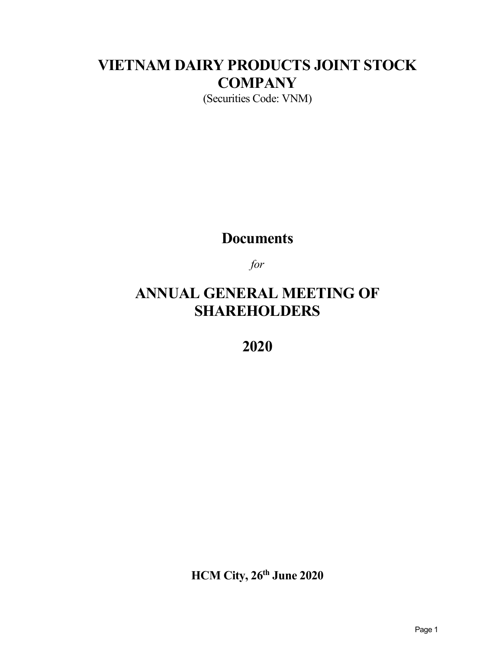# **VIETNAM DAIRY PRODUCTS JOINT STOCK COMPANY**

(Securities Code: VNM)

## **Documents**

*for*

## **ANNUAL GENERAL MEETING OF SHAREHOLDERS**

**2020**

**HCM City, 26th June 2020**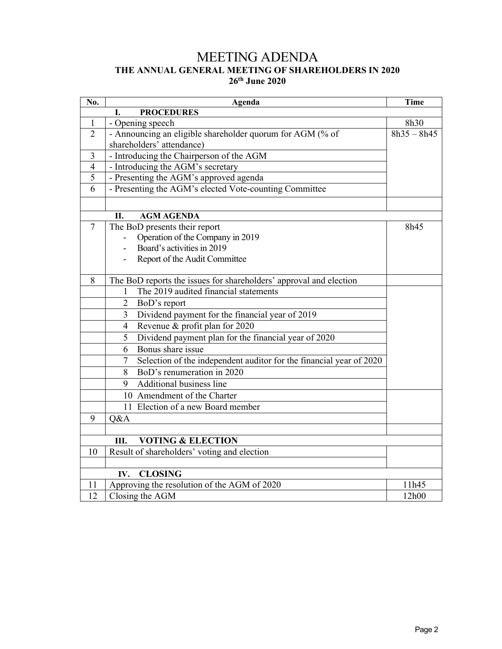## MEETING ADENDA **THE ANNUAL GENERAL MEETING OF SHAREHOLDERS IN 2020 26th June 2020**

| No.            | Agenda                                                                   |               |
|----------------|--------------------------------------------------------------------------|---------------|
|                | <b>PROCEDURES</b><br>L.                                                  |               |
| 1              | - Opening speech                                                         | 8h30          |
| $\overline{2}$ | - Announcing an eligible shareholder quorum for AGM (% of                | $8h35 - 8h45$ |
|                | shareholders' attendance)                                                |               |
| 3              | - Introducing the Chairperson of the AGM                                 |               |
| $\overline{4}$ | - Introducing the AGM's secretary                                        |               |
| 5              | - Presenting the AGM's approved agenda                                   |               |
| 6              | - Presenting the AGM's elected Vote-counting Committee                   |               |
|                |                                                                          |               |
|                | П.<br><b>AGM AGENDA</b>                                                  |               |
| $\overline{7}$ | The BoD presents their report                                            | 8h45          |
|                | Operation of the Company in 2019                                         |               |
|                | Board's activities in 2019                                               |               |
|                | Report of the Audit Committee                                            |               |
| 8              | The BoD reports the issues for shareholders' approval and election       |               |
|                | The 2019 audited financial statements                                    |               |
|                | BoD's report<br>2                                                        |               |
|                | Dividend payment for the financial year of 2019<br>3                     |               |
|                | Revenue & profit plan for 2020<br>$\overline{4}$                         |               |
|                | Dividend payment plan for the financial year of 2020<br>5                |               |
|                | Bonus share issue<br>6                                                   |               |
|                | Selection of the independent auditor for the financial year of 2020<br>7 |               |
|                | BoD's renumeration in 2020<br>8                                          |               |
|                | <b>Additional business line</b><br>9                                     |               |
|                | 10 Amendment of the Charter                                              |               |
|                | 11 Election of a new Board member                                        |               |
| 9              | Q&A                                                                      |               |
|                |                                                                          |               |
|                | <b>VOTING &amp; ELECTION</b><br>III.                                     |               |
| 10             | Result of shareholders' voting and election                              |               |
|                | <b>CLOSING</b><br>IV.                                                    |               |
| 11             | Approving the resolution of the AGM of 2020                              | 11h45         |
| 12             | Closing the AGM                                                          | 12h00         |
|                |                                                                          |               |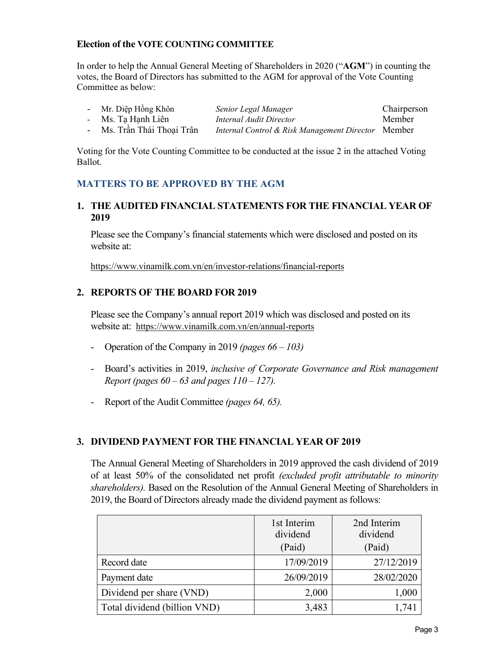#### **Election of the VOTE COUNTING COMMITTEE**

In order to help the Annual General Meeting of Shareholders in 2020 ("**AGM**") in counting the votes, the Board of Directors has submitted to the AGM for approval of the Vote Counting Committee as below:

| - Mr. Diệp Hồng Khôn       | Senior Legal Manager                               | Chairperson |
|----------------------------|----------------------------------------------------|-------------|
| - Ms. Ta Hanh Liên         | Internal Audit Director                            | Member      |
| - Ms. Trần Thái Thoai Trân | Internal Control & Risk Management Director Member |             |

Voting for the Vote Counting Committee to be conducted at the issue 2 in the attached Voting Ballot.

## **MATTERS TO BE APPROVED BY THE AGM**

#### **1. THE AUDITED FINANCIAL STATEMENTS FOR THE FINANCIAL YEAR OF 2019**

Please see the Company's financial statements which were disclosed and posted on its website at:

https://www.vinamilk.com.vn/en/investor-relations/financial-reports

## **2. REPORTS OF THE BOARD FOR 2019**

Please see the Company's annual report 2019 which was disclosed and posted on its website at: https://www.vinamilk.com.vn/en/annual-reports

- Operation of the Company in 2019 *(pages 66 – 103)*
- Board's activities in 2019, *inclusive of Corporate Governance and Risk management Report (pages 60 – 63 and pages 110 – 127).*
- Report of the Audit Committee *(pages 64, 65).*

## **3. DIVIDEND PAYMENT FOR THE FINANCIAL YEAR OF 2019**

The Annual General Meeting of Shareholders in 2019 approved the cash dividend of 2019 of at least 50% of the consolidated net profit *(excluded profit attributable to minority shareholders).* Based on the Resolution of the Annual General Meeting of Shareholders in 2019, the Board of Directors already made the dividend payment as follows:

|                              | 1st Interim<br>dividend<br>(Paid) | 2nd Interim<br>dividend<br>(Paid) |
|------------------------------|-----------------------------------|-----------------------------------|
| Record date                  | 17/09/2019                        | 27/12/2019                        |
| Payment date                 | 26/09/2019                        | 28/02/2020                        |
| Dividend per share (VND)     | 2,000                             | 1,000                             |
| Total dividend (billion VND) | 3,483                             | 1,741                             |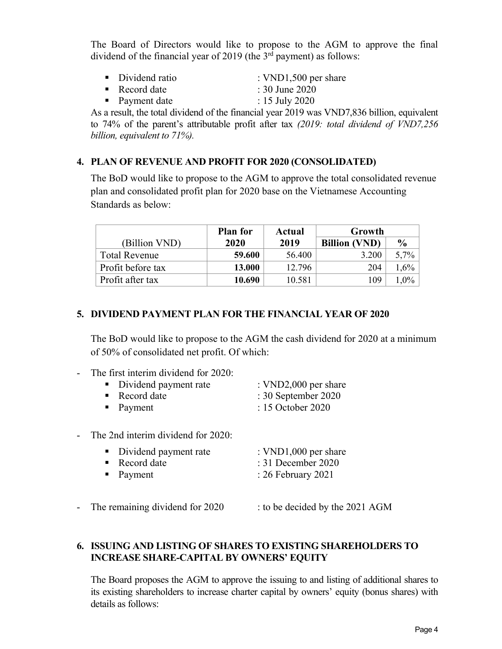The Board of Directors would like to propose to the AGM to approve the final dividend of the financial year of 2019 (the  $3<sup>rd</sup>$  payment) as follows:

- Dividend ratio : VND1,500 per share
- Record date : 30 June 2020
- Payment date : 15 July 2020
- 

As a result, the total dividend of the financial year 2019 was VND7,836 billion, equivalent to 74% of the parent's attributable profit after tax *(2019: total dividend of VND7,256 billion, equivalent to 71%).*

## **4. PLAN OF REVENUE AND PROFIT FOR 2020 (CONSOLIDATED)**

The BoD would like to propose to the AGM to approve the total consolidated revenue plan and consolidated profit plan for 2020 base on the Vietnamese Accounting Standards as below:

|                      | <b>Plan for</b> | Actual | Growth               |               |
|----------------------|-----------------|--------|----------------------|---------------|
| (Billion VND)        | 2020            | 2019   | <b>Billion (VND)</b> | $\frac{0}{0}$ |
| <b>Total Revenue</b> | 59.600          | 56.400 | 3.200                | $5,7\%$       |
| Profit before tax    | 13.000          | 12.796 | 204                  | $1,6\%$       |
| Profit after tax     | 10.690          | 10.581 | 109                  | $1.0\%$       |

## **5. DIVIDEND PAYMENT PLAN FOR THE FINANCIAL YEAR OF 2020**

The BoD would like to propose to the AGM the cash dividend for 2020 at a minimum of 50% of consolidated net profit. Of which:

| - The first interim dividend for 2020: |                                |
|----------------------------------------|--------------------------------|
| • Dividend payment rate                | : $VND2,000$ per share         |
| $\blacksquare$ Record date             | $\therefore$ 30 September 2020 |
| $\blacksquare$ Payment                 | $: 15$ October 2020            |

- The 2nd interim dividend for 2020:

| • Dividend payment rate    | : $VND1,000$ per share |
|----------------------------|------------------------|
| $\blacksquare$ Record date | $: 31$ December 2020   |
| $\blacksquare$ Payment     | : $26$ February $2021$ |

- The remaining dividend for 2020 : to be decided by the 2021 AGM

## **6. ISSUING AND LISTING OF SHARES TO EXISTING SHAREHOLDERS TO INCREASE SHARE-CAPITAL BY OWNERS' EQUITY**

The Board proposes the AGM to approve the issuing to and listing of additional shares to its existing shareholders to increase charter capital by owners' equity (bonus shares) with details as follows: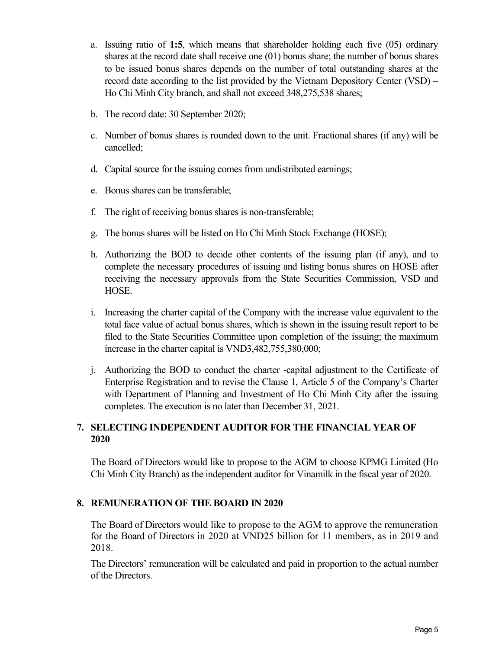- a. Issuing ratio of **1:5**, which means that shareholder holding each five (05) ordinary shares at the record date shall receive one (01) bonus share; the number of bonus shares to be issued bonus shares depends on the number of total outstanding shares at the record date according to the list provided by the Vietnam Depository Center (VSD) – Ho Chi Minh City branch, and shall not exceed 348,275,538 shares;
- b. The record date: 30 September 2020;
- c. Number of bonus shares is rounded down to the unit. Fractional shares (if any) will be cancelled;
- d. Capital source for the issuing comes from undistributed earnings;
- e. Bonus shares can be transferable;
- f. The right of receiving bonus shares is non-transferable;
- g. The bonus shares will be listed on Ho Chi Minh Stock Exchange (HOSE);
- h. Authorizing the BOD to decide other contents of the issuing plan (if any), and to complete the necessary procedures of issuing and listing bonus shares on HOSE after receiving the necessary approvals from the State Securities Commission, VSD and HOSE.
- i. Increasing the charter capital of the Company with the increase value equivalent to the total face value of actual bonus shares, which is shown in the issuing result report to be filed to the State Securities Committee upon completion of the issuing; the maximum increase in the charter capital is VND3,482,755,380,000;
- j. Authorizing the BOD to conduct the charter -capital adjustment to the Certificate of Enterprise Registration and to revise the Clause 1, Article 5 of the Company's Charter with Department of Planning and Investment of Ho Chi Minh City after the issuing completes. The execution is no later than December 31, 2021.

## **7. SELECTING INDEPENDENT AUDITOR FOR THE FINANCIAL YEAR OF 2020**

The Board of Directors would like to propose to the AGM to choose KPMG Limited (Ho Chi Minh City Branch) as the independent auditor for Vinamilk in the fiscal year of 2020.

## **8. REMUNERATION OF THE BOARD IN 2020**

The Board of Directors would like to propose to the AGM to approve the remuneration for the Board of Directors in 2020 at VND25 billion for 11 members, as in 2019 and 2018.

The Directors' remuneration will be calculated and paid in proportion to the actual number of the Directors.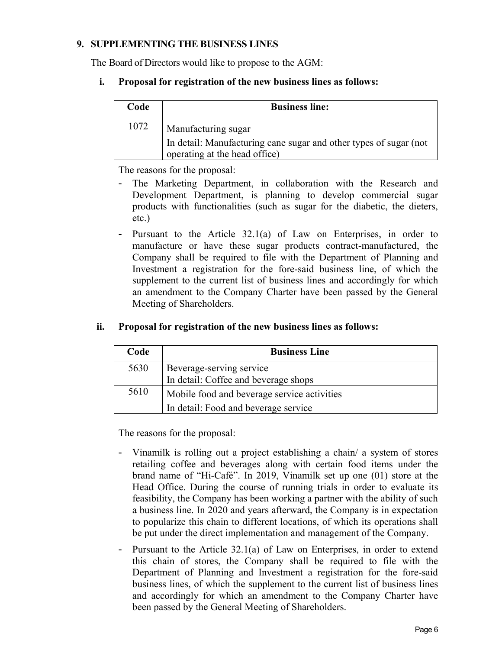## **9. SUPPLEMENTING THE BUSINESS LINES**

The Board of Directors would like to propose to the AGM:

## **i. Proposal for registration of the new business lines as follows:**

| <b>Business line:</b>                                                                              |
|----------------------------------------------------------------------------------------------------|
| Manufacturing sugar                                                                                |
| In detail: Manufacturing cane sugar and other types of sugar (not<br>operating at the head office) |
|                                                                                                    |

The reasons for the proposal:

- The Marketing Department, in collaboration with the Research and Development Department, is planning to develop commercial sugar products with functionalities (such as sugar for the diabetic, the dieters, etc.)
- Pursuant to the Article 32.1(a) of Law on Enterprises, in order to manufacture or have these sugar products contract-manufactured, the Company shall be required to file with the Department of Planning and Investment a registration for the fore-said business line, of which the supplement to the current list of business lines and accordingly for which an amendment to the Company Charter have been passed by the General Meeting of Shareholders.

| Code | <b>Business Line</b>                        |
|------|---------------------------------------------|
| 5630 | Beverage-serving service                    |
|      | In detail: Coffee and beverage shops        |
| 5610 | Mobile food and beverage service activities |
|      | In detail: Food and beverage service        |

#### **ii. Proposal for registration of the new business lines as follows:**

The reasons for the proposal:

- Vinamilk is rolling out a project establishing a chain/ a system of stores retailing coffee and beverages along with certain food items under the brand name of "Hi-Café". In 2019, Vinamilk set up one (01) store at the Head Office. During the course of running trials in order to evaluate its feasibility, the Company has been working a partner with the ability of such a business line. In 2020 and years afterward, the Company is in expectation to popularize this chain to different locations, of which its operations shall be put under the direct implementation and management of the Company.
- Pursuant to the Article 32.1(a) of Law on Enterprises, in order to extend this chain of stores, the Company shall be required to file with the Department of Planning and Investment a registration for the fore-said business lines, of which the supplement to the current list of business lines and accordingly for which an amendment to the Company Charter have been passed by the General Meeting of Shareholders.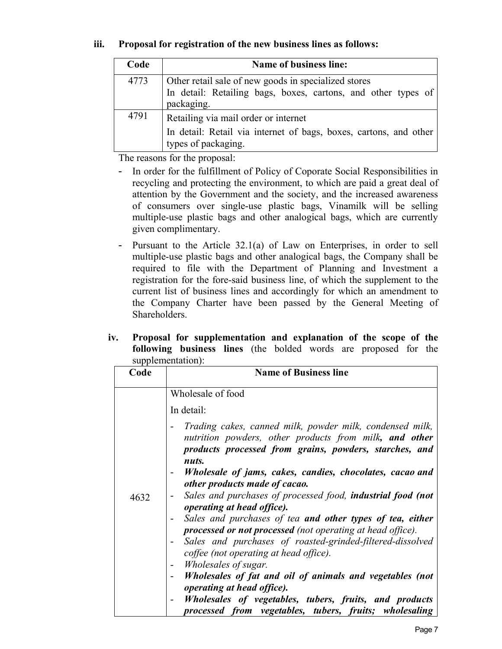## **iii. Proposal for registration of the new business lines as follows:**

| Code | <b>Name of business line:</b>                                                            |
|------|------------------------------------------------------------------------------------------|
| 4773 | Other retail sale of new goods in specialized stores                                     |
|      | In detail: Retailing bags, boxes, cartons, and other types of                            |
|      | packaging.                                                                               |
| 4791 | Retailing via mail order or internet                                                     |
|      | In detail: Retail via internet of bags, boxes, cartons, and other<br>types of packaging. |

The reasons for the proposal:

- In order for the fulfillment of Policy of Coporate Social Responsibilities in recycling and protecting the environment, to which are paid a great deal of attention by the Government and the society, and the increased awareness of consumers over single-use plastic bags, Vinamilk will be selling multiple-use plastic bags and other analogical bags, which are currently given complimentary.
- Pursuant to the Article 32.1(a) of Law on Enterprises, in order to sell multiple-use plastic bags and other analogical bags, the Company shall be required to file with the Department of Planning and Investment a registration for the fore-said business line, of which the supplement to the current list of business lines and accordingly for which an amendment to the Company Charter have been passed by the General Meeting of Shareholders.
- **iv. Proposal for supplementation and explanation of the scope of the following business lines** (the bolded words are proposed for the supplementation).

| Code | $\mathcal{L}$<br><b>Name of Business line</b>                                                                                                                                                                                                                                                                                                                                                                                                                                                                                                                                                                                                                                                                                                                                                                                                                |
|------|--------------------------------------------------------------------------------------------------------------------------------------------------------------------------------------------------------------------------------------------------------------------------------------------------------------------------------------------------------------------------------------------------------------------------------------------------------------------------------------------------------------------------------------------------------------------------------------------------------------------------------------------------------------------------------------------------------------------------------------------------------------------------------------------------------------------------------------------------------------|
| 4632 | Wholesale of food<br>In detail:<br>Trading cakes, canned milk, powder milk, condensed milk,<br>nutrition powders, other products from milk, and other<br>products processed from grains, powders, starches, and<br>nuts.<br>Wholesale of jams, cakes, candies, chocolates, cacao and<br>other products made of cacao.<br>Sales and purchases of processed food, <b>industrial food (not</b><br><i>operating at head office).</i><br>Sales and purchases of tea and other types of tea, either<br>processed or not processed (not operating at head office).<br>Sales and purchases of roasted-grinded-filtered-dissolved<br>coffee (not operating at head office).<br><i>Wholesales of sugar.</i><br>Wholesales of fat and oil of animals and vegetables (not<br><i>operating at head office).</i><br>Wholesales of vegetables, tubers, fruits, and products |
|      | processed from vegetables, tubers, fruits; wholesaling                                                                                                                                                                                                                                                                                                                                                                                                                                                                                                                                                                                                                                                                                                                                                                                                       |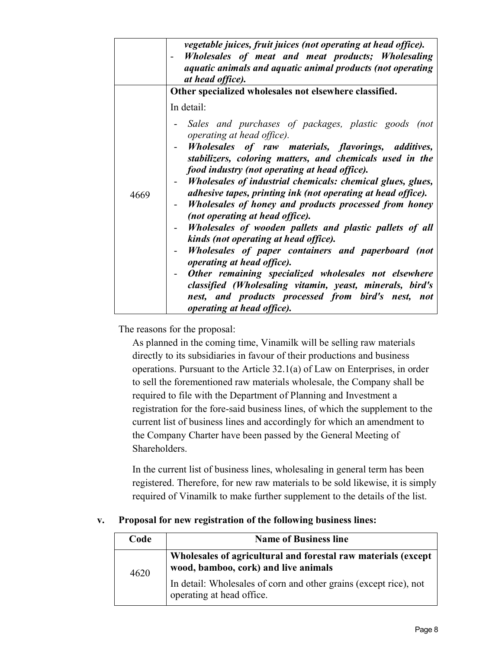|      | vegetable juices, fruit juices (not operating at head office).<br>Wholesales of meat and meat products; Wholesaling<br>aquatic animals and aquatic animal products (not operating<br>at head office).<br>Other specialized wholesales not elsewhere classified.                                                                                                                                                                                                                                                                                                                                                                                         |
|------|---------------------------------------------------------------------------------------------------------------------------------------------------------------------------------------------------------------------------------------------------------------------------------------------------------------------------------------------------------------------------------------------------------------------------------------------------------------------------------------------------------------------------------------------------------------------------------------------------------------------------------------------------------|
| 4669 | In detail:<br>Sales and purchases of packages, plastic goods (not<br>operating at head office).<br>Wholesales of raw materials, flavorings, additives,<br>stabilizers, coloring matters, and chemicals used in the<br>food industry (not operating at head office).<br>Wholesales of industrial chemicals: chemical glues, glues,<br>adhesive tapes, printing ink (not operating at head office).<br>Wholesales of honey and products processed from honey<br>(not operating at head office).<br>Wholesales of wooden pallets and plastic pallets of all<br>kinds (not operating at head office).<br>Wholesales of paper containers and paperboard (not |
|      | <i>operating at head office).</i><br>Other remaining specialized wholesales not elsewhere<br>classified (Wholesaling vitamin, yeast, minerals, bird's<br>nest, and products processed from bird's nest, not<br><i>operating at head office).</i>                                                                                                                                                                                                                                                                                                                                                                                                        |

The reasons for the proposal:

As planned in the coming time, Vinamilk will be selling raw materials directly to its subsidiaries in favour of their productions and business operations. Pursuant to the Article 32.1(a) of Law on Enterprises, in order to sell the forementioned raw materials wholesale, the Company shall be required to file with the Department of Planning and Investment a registration for the fore-said business lines, of which the supplement to the current list of business lines and accordingly for which an amendment to the Company Charter have been passed by the General Meeting of Shareholders.

In the current list of business lines, wholesaling in general term has been registered. Therefore, for new raw materials to be sold likewise, it is simply required of Vinamilk to make further supplement to the details of the list.

#### **v. Proposal for new registration of the following business lines:**

| Code | <b>Name of Business line</b>                                                                          |  |
|------|-------------------------------------------------------------------------------------------------------|--|
| 4620 | Wholesales of agricultural and forestal raw materials (except<br>wood, bamboo, cork) and live animals |  |
|      | In detail: Wholesales of corn and other grains (except rice), not<br>operating at head office.        |  |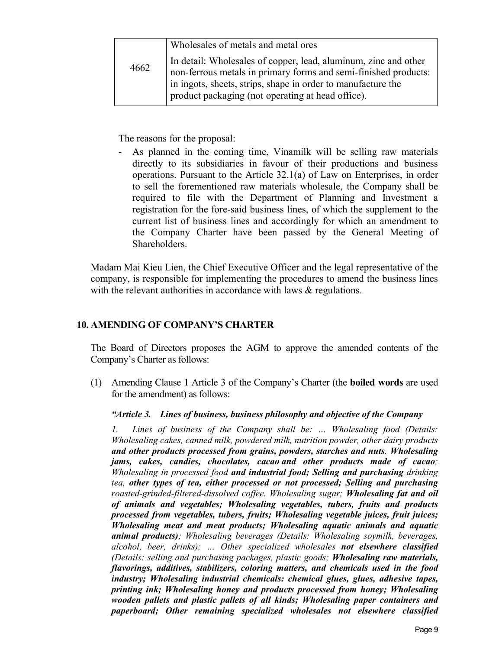|      | Wholesales of metals and metal ores                                                                                                                                                                                                                     |
|------|---------------------------------------------------------------------------------------------------------------------------------------------------------------------------------------------------------------------------------------------------------|
| 4662 | In detail: Wholesales of copper, lead, aluminum, zinc and other<br>non-ferrous metals in primary forms and semi-finished products:<br>in ingots, sheets, strips, shape in order to manufacture the<br>product packaging (not operating at head office). |

The reasons for the proposal:

- As planned in the coming time, Vinamilk will be selling raw materials directly to its subsidiaries in favour of their productions and business operations. Pursuant to the Article 32.1(a) of Law on Enterprises, in order to sell the forementioned raw materials wholesale, the Company shall be required to file with the Department of Planning and Investment a registration for the fore-said business lines, of which the supplement to the current list of business lines and accordingly for which an amendment to the Company Charter have been passed by the General Meeting of Shareholders.

Madam Mai Kieu Lien, the Chief Executive Officer and the legal representative of the company, is responsible for implementing the procedures to amend the business lines with the relevant authorities in accordance with laws & regulations.

## **10. AMENDING OF COMPANY'S CHARTER**

The Board of Directors proposes the AGM to approve the amended contents of the Company's Charter as follows:

(1) Amending Clause 1 Article 3 of the Company's Charter (the **boiled words** are used for the amendment) as follows:

## *"Article 3. Lines of business, business philosophy and objective of the Company*

*1. Lines of business of the Company shall be: … Wholesaling food (Details: Wholesaling cakes, canned milk, powdered milk, nutrition powder, other dairy products and other products processed from grains, powders, starches and nuts. Wholesaling jams, cakes, candies, chocolates, cacao and other products made of cacao; Wholesaling in processed food and industrial food; Selling and purchasing drinking tea, other types of tea, either processed or not processed; Selling and purchasing roasted-grinded-filtered-dissolved coffee. Wholesaling sugar; Wholesaling fat and oil of animals and vegetables; Wholesaling vegetables, tubers, fruits and products processed from vegetables, tubers, fruits; Wholesaling vegetable juices, fruit juices; Wholesaling meat and meat products; Wholesaling aquatic animals and aquatic animal products); Wholesaling beverages (Details: Wholesaling soymilk, beverages, alcohol, beer, drinks); … Other specialized wholesales not elsewhere classified (Details: selling and purchasing packages, plastic goods; Wholesaling raw materials, flavorings, additives, stabilizers, coloring matters, and chemicals used in the food industry; Wholesaling industrial chemicals: chemical glues, glues, adhesive tapes, printing ink; Wholesaling honey and products processed from honey; Wholesaling wooden pallets and plastic pallets of all kinds; Wholesaling paper containers and paperboard; Other remaining specialized wholesales not elsewhere classified*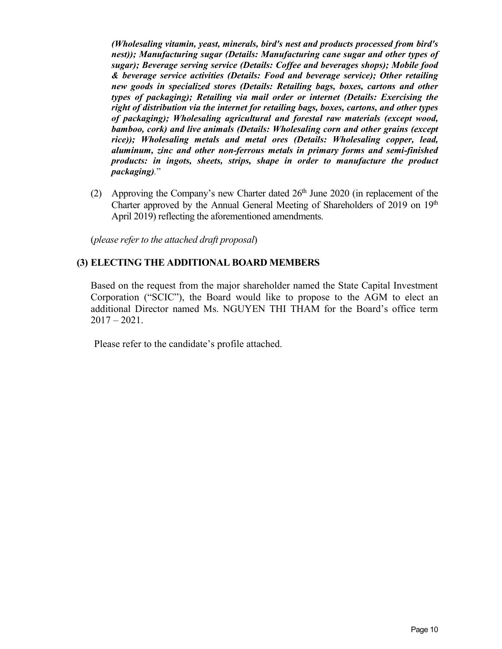*(Wholesaling vitamin, yeast, minerals, bird's nest and products processed from bird's nest)); Manufacturing sugar (Details: Manufacturing cane sugar and other types of sugar); Beverage serving service (Details: Coffee and beverages shops); Mobile food & beverage service activities (Details: Food and beverage service); Other retailing new goods in specialized stores (Details: Retailing bags, boxes, cartons and other types of packaging); Retailing via mail order or internet (Details: Exercising the right of distribution via the internet for retailing bags, boxes, cartons, and other types of packaging); Wholesaling agricultural and forestal raw materials (except wood, bamboo, cork) and live animals (Details: Wholesaling corn and other grains (except rice)); Wholesaling metals and metal ores (Details: Wholesaling copper, lead, aluminum, zinc and other non-ferrous metals in primary forms and semi-finished products: in ingots, sheets, strips, shape in order to manufacture the product packaging).*"

(2) Approving the Company's new Charter dated  $26<sup>th</sup>$  June 2020 (in replacement of the Charter approved by the Annual General Meeting of Shareholders of 2019 on 19<sup>th</sup> April 2019) reflecting the aforementioned amendments.

(*please refer to the attached draft proposal*)

#### **(3) ELECTING THE ADDITIONAL BOARD MEMBERS**

Based on the request from the major shareholder named the State Capital Investment Corporation ("SCIC"), the Board would like to propose to the AGM to elect an additional Director named Ms. NGUYEN THI THAM for the Board's office term  $2017 - 2021$ .

Please refer to the candidate's profile attached.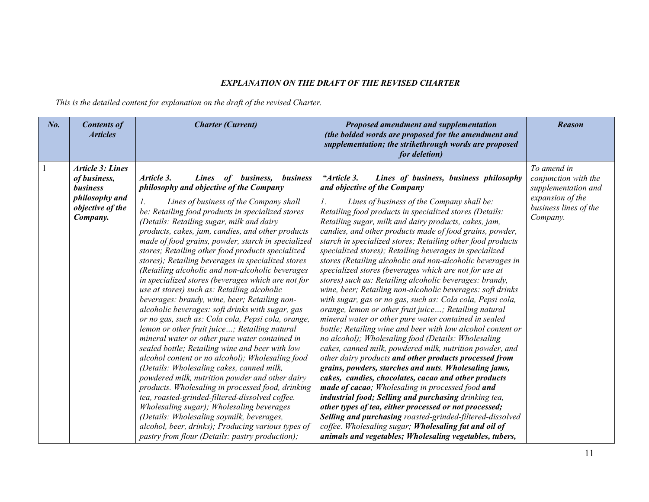#### *EXPLANATION ON THE DRAFT OF THE REVISED CHARTER*

*This is the detailed content for explanation on the draft of the revised Charter.*

| $N_{0}$ . | <b>Contents of</b><br><b>Articles</b>                                                                        | <b>Charter (Current)</b>                                                                                                                                                                                                                                                                                                                                                                                                                                                                                                                                                                                                                                                                                                                                                                                                                                                                                                                                                                                                                                                                                                                                                                                                                                                                                                                                                                                        | Proposed amendment and supplementation<br>(the bolded words are proposed for the amendment and<br>supplementation; the strikethrough words are proposed<br>for deletion)                                                                                                                                                                                                                                                                                                                                                                                                                                                                                                                                                                                                                                                                                                                                                                                                                                                                                                                                                                                                                                                                                                                                                                                                                                                                                                                                                                                                                                  | <b>Reason</b>                                                                                                       |
|-----------|--------------------------------------------------------------------------------------------------------------|-----------------------------------------------------------------------------------------------------------------------------------------------------------------------------------------------------------------------------------------------------------------------------------------------------------------------------------------------------------------------------------------------------------------------------------------------------------------------------------------------------------------------------------------------------------------------------------------------------------------------------------------------------------------------------------------------------------------------------------------------------------------------------------------------------------------------------------------------------------------------------------------------------------------------------------------------------------------------------------------------------------------------------------------------------------------------------------------------------------------------------------------------------------------------------------------------------------------------------------------------------------------------------------------------------------------------------------------------------------------------------------------------------------------|-----------------------------------------------------------------------------------------------------------------------------------------------------------------------------------------------------------------------------------------------------------------------------------------------------------------------------------------------------------------------------------------------------------------------------------------------------------------------------------------------------------------------------------------------------------------------------------------------------------------------------------------------------------------------------------------------------------------------------------------------------------------------------------------------------------------------------------------------------------------------------------------------------------------------------------------------------------------------------------------------------------------------------------------------------------------------------------------------------------------------------------------------------------------------------------------------------------------------------------------------------------------------------------------------------------------------------------------------------------------------------------------------------------------------------------------------------------------------------------------------------------------------------------------------------------------------------------------------------------|---------------------------------------------------------------------------------------------------------------------|
|           | <b>Article 3: Lines</b><br>of business,<br><b>business</b><br>philosophy and<br>objective of the<br>Company. | Article 3.<br>of business, business<br><b>Lines</b><br>philosophy and objective of the Company<br>Lines of business of the Company shall<br>Ι.<br>be: Retailing food products in specialized stores<br>(Details: Retailing sugar, milk and dairy<br>products, cakes, jam, candies, and other products<br>made of food grains, powder, starch in specialized<br>stores; Retailing other food products specialized<br>stores); Retailing beverages in specialized stores<br>(Retailing alcoholic and non-alcoholic beverages<br>in specialized stores (beverages which are not for<br>use at stores) such as: Retailing alcoholic<br>beverages: brandy, wine, beer; Retailing non-<br>alcoholic beverages: soft drinks with sugar, gas<br>or no gas, such as: Cola cola, Pepsi cola, orange,<br>lemon or other fruit juice; Retailing natural<br>mineral water or other pure water contained in<br>sealed bottle; Retailing wine and beer with low<br>alcohol content or no alcohol); Wholesaling food<br>(Details: Wholesaling cakes, canned milk,<br>powdered milk, nutrition powder and other dairy<br>products. Wholesaling in processed food, drinking<br>tea, roasted-grinded-filtered-dissolved coffee.<br>Wholesaling sugar); Wholesaling beverages<br>(Details: Wholesaling soymilk, beverages,<br>alcohol, beer, drinks); Producing various types of<br>pastry from flour (Details: pastry production); | "Article 3.<br>Lines of business, business philosophy<br>and objective of the Company<br>Lines of business of the Company shall be:<br>Ι.<br>Retailing food products in specialized stores (Details:<br>Retailing sugar, milk and dairy products, cakes, jam,<br>candies, and other products made of food grains, powder,<br>starch in specialized stores; Retailing other food products<br>specialized stores); Retailing beverages in specialized<br>stores (Retailing alcoholic and non-alcoholic beverages in<br>specialized stores (beverages which are not for use at<br>stores) such as: Retailing alcoholic beverages: brandy,<br>wine, beer; Retailing non-alcoholic beverages: soft drinks<br>with sugar, gas or no gas, such as: Cola cola, Pepsi cola,<br>orange, lemon or other fruit juice; Retailing natural<br>mineral water or other pure water contained in sealed<br>bottle; Retailing wine and beer with low alcohol content or<br>no alcohol); Wholesaling food (Details: Wholesaling<br>cakes, canned milk, powdered milk, nutrition powder, and<br>other dairy products and other products processed from<br>grains, powders, starches and nuts. Wholesaling jams,<br>cakes, candies, chocolates, cacao and other products<br>made of cacao; Wholesaling in processed food and<br>industrial food; Selling and purchasing drinking tea,<br>other types of tea, either processed or not processed;<br>Selling and purchasing roasted-grinded-filtered-dissolved<br>coffee. Wholesaling sugar; Wholesaling fat and oil of<br>animals and vegetables; Wholesaling vegetables, tubers, | To amend in<br>conjunction with the<br>supplementation and<br>expansion of the<br>business lines of the<br>Company. |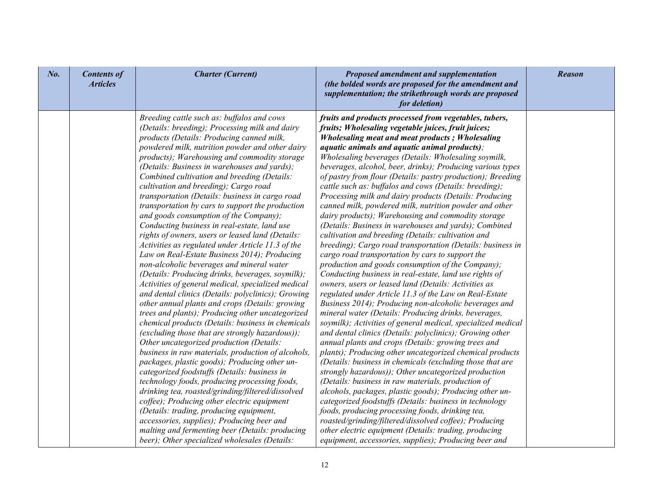| $N0$ . | <b>Contents of</b><br><b>Articles</b> | <b>Charter (Current)</b>                                                                                                                                                                                                                                                                                                                                                                                                                                                                                                                                                                                                                                                                                                                                                                                                                                                                                                                                                                                                                                                                                                                                                                                                                                                                                                                                                                                                                                                                                                                                                                                                                                                                                                        | Proposed amendment and supplementation<br>(the bolded words are proposed for the amendment and<br>supplementation; the strikethrough words are proposed<br>for deletion)                                                                                                                                                                                                                                                                                                                                                                                                                                                                                                                                                                                                                                                                                                                                                                                                                                                                                                                                                                                                                                                                                                                                                                                                                                                                                                                                                                                                                                                                                                                                                                                                                                                                                                                                                                                                                                                    | <b>Reason</b> |
|--------|---------------------------------------|---------------------------------------------------------------------------------------------------------------------------------------------------------------------------------------------------------------------------------------------------------------------------------------------------------------------------------------------------------------------------------------------------------------------------------------------------------------------------------------------------------------------------------------------------------------------------------------------------------------------------------------------------------------------------------------------------------------------------------------------------------------------------------------------------------------------------------------------------------------------------------------------------------------------------------------------------------------------------------------------------------------------------------------------------------------------------------------------------------------------------------------------------------------------------------------------------------------------------------------------------------------------------------------------------------------------------------------------------------------------------------------------------------------------------------------------------------------------------------------------------------------------------------------------------------------------------------------------------------------------------------------------------------------------------------------------------------------------------------|-----------------------------------------------------------------------------------------------------------------------------------------------------------------------------------------------------------------------------------------------------------------------------------------------------------------------------------------------------------------------------------------------------------------------------------------------------------------------------------------------------------------------------------------------------------------------------------------------------------------------------------------------------------------------------------------------------------------------------------------------------------------------------------------------------------------------------------------------------------------------------------------------------------------------------------------------------------------------------------------------------------------------------------------------------------------------------------------------------------------------------------------------------------------------------------------------------------------------------------------------------------------------------------------------------------------------------------------------------------------------------------------------------------------------------------------------------------------------------------------------------------------------------------------------------------------------------------------------------------------------------------------------------------------------------------------------------------------------------------------------------------------------------------------------------------------------------------------------------------------------------------------------------------------------------------------------------------------------------------------------------------------------------|---------------|
|        |                                       | Breeding cattle such as: buffalos and cows<br>(Details: breeding); Processing milk and dairy<br>products (Details: Producing canned milk,<br>powdered milk, nutrition powder and other dairy<br>products); Warehousing and commodity storage<br>(Details: Business in warehouses and yards);<br>Combined cultivation and breeding (Details:<br>cultivation and breeding); Cargo road<br>transportation (Details: business in cargo road<br>transportation by cars to support the production<br>and goods consumption of the Company);<br>Conducting business in real-estate, land use<br>rights of owners, users or leased land (Details:<br>Activities as regulated under Article 11.3 of the<br>Law on Real-Estate Business 2014); Producing<br>non-alcoholic beverages and mineral water<br>(Details: Producing drinks, beverages, soymilk);<br>Activities of general medical, specialized medical<br>and dental clinics (Details: polyclinics); Growing<br>other annual plants and crops (Details: growing<br>trees and plants); Producing other uncategorized<br>chemical products (Details: business in chemicals<br>(excluding those that are strongly hazardous));<br>Other uncategorized production (Details:<br>business in raw materials, production of alcohols,<br>packages, plastic goods); Producing other un-<br>categorized foodstuffs (Details: business in<br>technology foods, producing processing foods,<br>drinking tea, roasted/grinding/filtered/dissolved<br>coffee); Producing other electric equipment<br>(Details: trading, producing equipment,<br>accessories, supplies); Producing beer and<br>malting and fermenting beer (Details: producing<br>beer); Other specialized wholesales (Details: | fruits and products processed from vegetables, tubers,<br>fruits; Wholesaling vegetable juices, fruit juices;<br><b>Wholesaling meat and meat products; Wholesaling</b><br><i>aquatic animals and aquatic animal products);</i><br>Wholesaling beverages (Details: Wholesaling soymilk,<br>beverages, alcohol, beer, drinks); Producing various types<br>of pastry from flour (Details: pastry production); Breeding<br>cattle such as: buffalos and cows (Details: breeding);<br>Processing milk and dairy products (Details: Producing<br>canned milk, powdered milk, nutrition powder and other<br>dairy products); Warehousing and commodity storage<br>(Details: Business in warehouses and yards); Combined<br>cultivation and breeding (Details: cultivation and<br>breeding); Cargo road transportation (Details: business in<br>cargo road transportation by cars to support the<br>production and goods consumption of the Company);<br>Conducting business in real-estate, land use rights of<br>owners, users or leased land (Details: Activities as<br>regulated under Article 11.3 of the Law on Real-Estate<br>Business 2014); Producing non-alcoholic beverages and<br>mineral water (Details: Producing drinks, beverages,<br>soymilk); Activities of general medical, specialized medical<br>and dental clinics (Details: polyclinics); Growing other<br>annual plants and crops (Details: growing trees and<br>plants); Producing other uncategorized chemical products<br>(Details: business in chemicals (excluding those that are<br>strongly hazardous)); Other uncategorized production<br>(Details: business in raw materials, production of<br>alcohols, packages, plastic goods); Producing other un-<br>categorized foodstuffs (Details: business in technology<br>foods, producing processing foods, drinking tea,<br>roasted/grinding/filtered/dissolved coffee); Producing<br>other electric equipment (Details: trading, producing<br>equipment, accessories, supplies); Producing beer and |               |